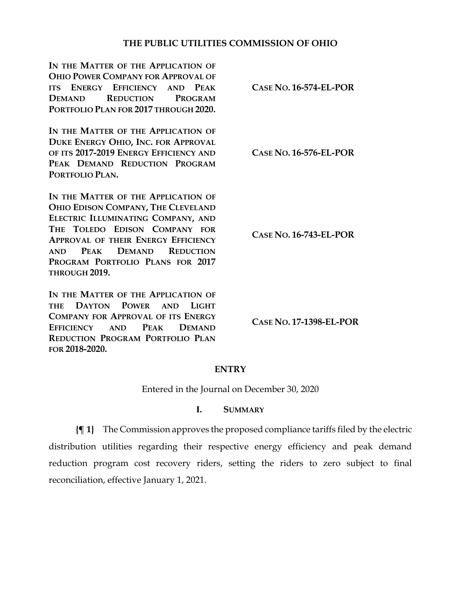## **THE PUBLIC UTILITIES COMMISSION OF OHIO**

**IN THE MATTER OF THE APPLICATION OF OHIO POWER COMPANY FOR APPROVAL OF ITS ENERGY EFFICIENCY AND PEAK DEMAND REDUCTION PROGRAM PORTFOLIO PLAN FOR 2017 THROUGH 2020. CASE NO. 16-574-EL-POR** IN THE MATTER OF THE APPLICATION OF **DUKE ENERGY OHIO, INC. FOR APPROVAL OF ITS 2017-2019 ENERGY EFFICIENCY AND PEAK DEMAND REDUCTION PROGRAM PORTFOLIO PLAN. CASE NO. 16-576-EL-POR** IN THE MATTER OF THE APPLICATION OF **OHIO EDISON COMPANY, THE CLEVELAND ELECTRIC ILLUMINATING COMPANY, AND THE TOLEDO EDISON COMPANY FOR APPROVAL OF THEIR ENERGY EFFICIENCY AND PEAK DEMAND REDUCTION PROGRAM PORTFOLIO PLANS FOR 2017 THROUGH 2019. CASE NO. 16-743-EL-POR IN THE MATTER OF THE APPLICATION OF THE DAYTON POWER AND LIGHT COMPANY FOR APPROVAL OF ITS ENERGY EFFICIENCY AND PEAK DEMAND REDUCTION PROGRAM PORTFOLIO PLAN CASE NO. 17-1398-EL-POR**

**FOR 2018-2020.**

## **ENTRY**

Entered in the Journal on December 30, 2020

## **I. SUMMARY**

**{¶ 1}** The Commission approves the proposed compliance tariffs filed by the electric distribution utilities regarding their respective energy efficiency and peak demand reduction program cost recovery riders, setting the riders to zero subject to final reconciliation, effective January 1, 2021.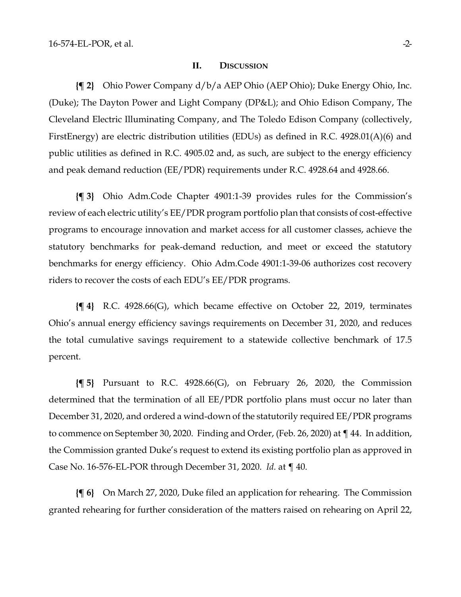#### **II. DISCUSSION**

**{¶ 2}** Ohio Power Company d/b/a AEP Ohio (AEP Ohio); Duke Energy Ohio, Inc. (Duke); The Dayton Power and Light Company (DP&L); and Ohio Edison Company, The Cleveland Electric Illuminating Company, and The Toledo Edison Company (collectively, FirstEnergy) are electric distribution utilities (EDUs) as defined in R.C. 4928.01(A)(6) and public utilities as defined in R.C. 4905.02 and, as such, are subject to the energy efficiency and peak demand reduction (EE/PDR) requirements under R.C. 4928.64 and 4928.66.

**{¶ 3}** Ohio Adm.Code Chapter 4901:1-39 provides rules for the Commission's review of each electric utility's EE/PDR program portfolio plan that consists of cost-effective programs to encourage innovation and market access for all customer classes, achieve the statutory benchmarks for peak-demand reduction, and meet or exceed the statutory benchmarks for energy efficiency. Ohio Adm.Code 4901:1-39-06 authorizes cost recovery riders to recover the costs of each EDU's EE/PDR programs.

**{¶ 4}** R.C. 4928.66(G), which became effective on October 22, 2019, terminates Ohio's annual energy efficiency savings requirements on December 31, 2020, and reduces the total cumulative savings requirement to a statewide collective benchmark of 17.5 percent.

**{¶ 5}** Pursuant to R.C. 4928.66(G), on February 26, 2020, the Commission determined that the termination of all EE/PDR portfolio plans must occur no later than December 31, 2020, and ordered a wind-down of the statutorily required EE/PDR programs to commence on September 30, 2020. Finding and Order, (Feb. 26, 2020) at ¶ 44. In addition, the Commission granted Duke's request to extend its existing portfolio plan as approved in Case No. 16-576-EL-POR through December 31, 2020. *Id.* at ¶ 40.

**{¶ 6}** On March 27, 2020, Duke filed an application for rehearing. The Commission granted rehearing for further consideration of the matters raised on rehearing on April 22,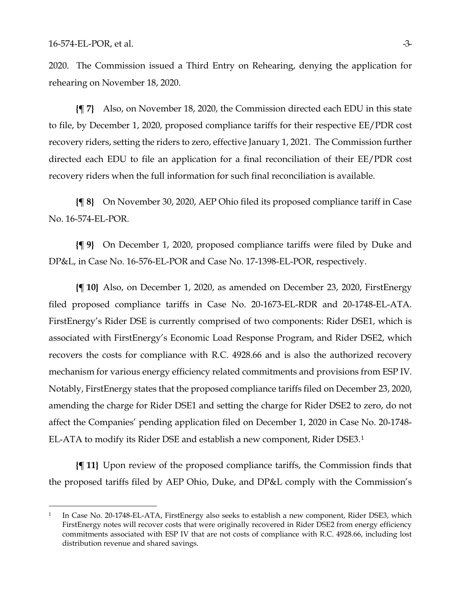2020. The Commission issued a Third Entry on Rehearing, denying the application for rehearing on November 18, 2020.

**{¶ 7}** Also, on November 18, 2020, the Commission directed each EDU in this state to file, by December 1, 2020, proposed compliance tariffs for their respective EE/PDR cost recovery riders, setting the riders to zero, effective January 1, 2021. The Commission further directed each EDU to file an application for a final reconciliation of their EE/PDR cost recovery riders when the full information for such final reconciliation is available.

**{¶ 8}** On November 30, 2020, AEP Ohio filed its proposed compliance tariff in Case No. 16-574-EL-POR.

**{¶ 9}** On December 1, 2020, proposed compliance tariffs were filed by Duke and DP&L, in Case No. 16-576-EL-POR and Case No. 17-1398-EL-POR, respectively.

**{¶ 10}** Also, on December 1, 2020, as amended on December 23, 2020, FirstEnergy filed proposed compliance tariffs in Case No. 20-1673-EL-RDR and 20-1748-EL-ATA. FirstEnergy's Rider DSE is currently comprised of two components: Rider DSE1, which is associated with FirstEnergy's Economic Load Response Program, and Rider DSE2, which recovers the costs for compliance with R.C. 4928.66 and is also the authorized recovery mechanism for various energy efficiency related commitments and provisions from ESP IV. Notably, FirstEnergy states that the proposed compliance tariffs filed on December 23, 2020, amending the charge for Rider DSE1 and setting the charge for Rider DSE2 to zero, do not affect the Companies' pending application filed on December 1, 2020 in Case No. 20-1748- EL-ATA to modify its Rider DSE and establish a new component, Rider DSE3.[1](#page-2-0) 

**{¶ 11}** Upon review of the proposed compliance tariffs, the Commission finds that the proposed tariffs filed by AEP Ohio, Duke, and DP&L comply with the Commission's

<span id="page-2-0"></span><sup>&</sup>lt;sup>1</sup> In Case No. 20-1748-EL-ATA, FirstEnergy also seeks to establish a new component, Rider DSE3, which FirstEnergy notes will recover costs that were originally recovered in Rider DSE2 from energy efficiency commitments associated with ESP IV that are not costs of compliance with R.C. 4928.66, including lost distribution revenue and shared savings.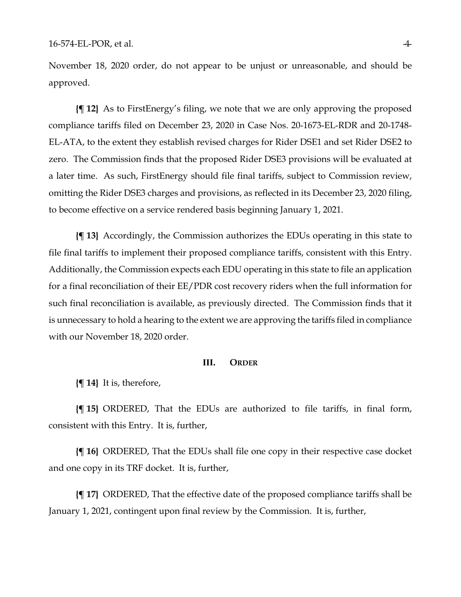November 18, 2020 order, do not appear to be unjust or unreasonable, and should be approved.

**{¶ 12}** As to FirstEnergy's filing, we note that we are only approving the proposed compliance tariffs filed on December 23, 2020 in Case Nos. 20-1673-EL-RDR and 20-1748- EL-ATA, to the extent they establish revised charges for Rider DSE1 and set Rider DSE2 to zero. The Commission finds that the proposed Rider DSE3 provisions will be evaluated at a later time. As such, FirstEnergy should file final tariffs, subject to Commission review, omitting the Rider DSE3 charges and provisions, as reflected in its December 23, 2020 filing, to become effective on a service rendered basis beginning January 1, 2021.

**{¶ 13}** Accordingly, the Commission authorizes the EDUs operating in this state to file final tariffs to implement their proposed compliance tariffs, consistent with this Entry. Additionally, the Commission expects each EDU operating in this state to file an application for a final reconciliation of their EE/PDR cost recovery riders when the full information for such final reconciliation is available, as previously directed. The Commission finds that it is unnecessary to hold a hearing to the extent we are approving the tariffs filed in compliance with our November 18, 2020 order.

### **III. ORDER**

**{¶ 14}** It is, therefore,

**{¶ 15}** ORDERED, That the EDUs are authorized to file tariffs, in final form, consistent with this Entry. It is, further,

**{¶ 16}** ORDERED, That the EDUs shall file one copy in their respective case docket and one copy in its TRF docket. It is, further,

**{¶ 17}** ORDERED, That the effective date of the proposed compliance tariffs shall be January 1, 2021, contingent upon final review by the Commission. It is, further,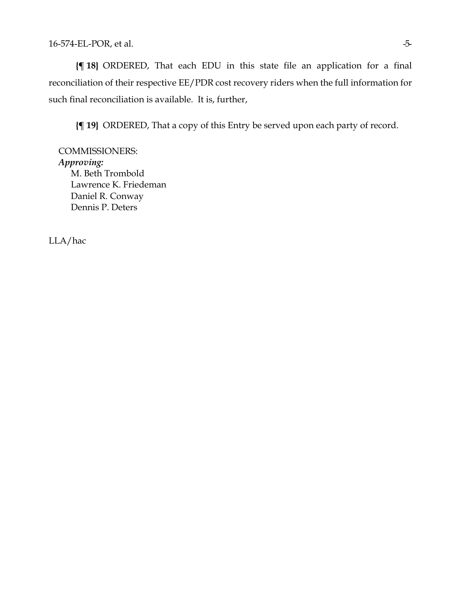**{¶ 18}** ORDERED, That each EDU in this state file an application for a final reconciliation of their respective EE/PDR cost recovery riders when the full information for such final reconciliation is available. It is, further,

**{¶ 19}** ORDERED, That a copy of this Entry be served upon each party of record.

COMMISSIONERS: *Approving:*  M. Beth Trombold Lawrence K. Friedeman Daniel R. Conway Dennis P. Deters

LLA/hac